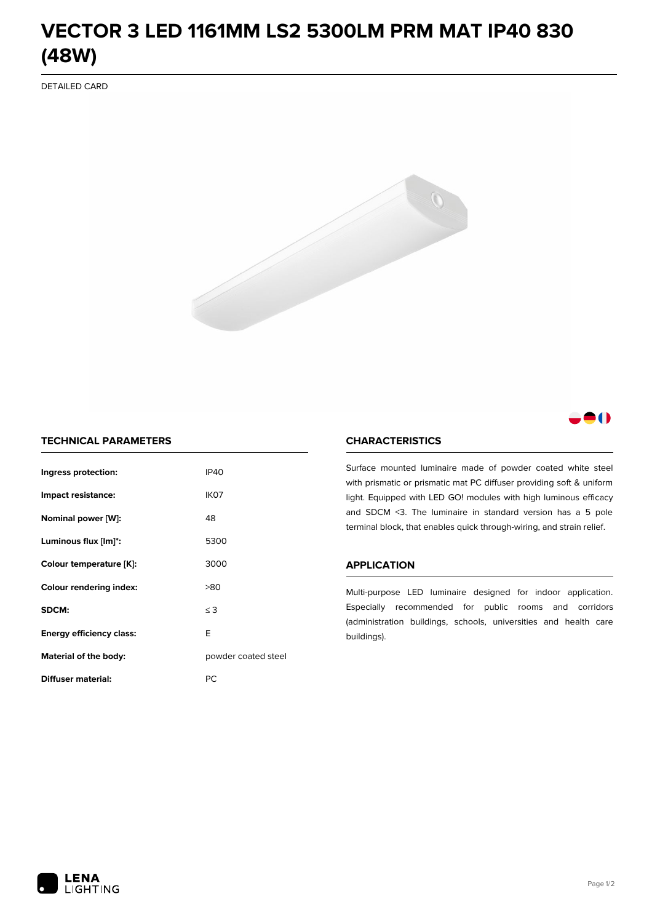# **VECTOR 3 LED 1161MM LS2 5300LM PRM MAT IP40 830 (48W)**

DETAILED CARD



# 80

## **TECHNICAL PARAMETERS**

| Ingress protection:             | <b>IP40</b>         |  |
|---------------------------------|---------------------|--|
| Impact resistance:              | IK <sub>07</sub>    |  |
| Nominal power [W]:              | 48                  |  |
| Luminous flux [lm]*:            | 5300                |  |
| Colour temperature [K]:         | 3000                |  |
| <b>Colour rendering index:</b>  | >80                 |  |
| SDCM:                           | $\leq$ 3            |  |
| <b>Energy efficiency class:</b> | E                   |  |
| Material of the body:           | powder coated steel |  |
| Diffuser material:              | РC                  |  |

### **CHARACTERISTICS**

Surface mounted luminaire made of powder coated white steel with prismatic or prismatic mat PC diffuser providing soft & uniform light. Equipped with LED GO! modules with high luminous efficacy and SDCM <3. The luminaire in standard version has a 5 pole terminal block, that enables quick through-wiring, and strain relief.

#### **APPLICATION**

Multi-purpose LED luminaire designed for indoor application. Especially recommended for public rooms and corridors (administration buildings, schools, universities and health care buildings).